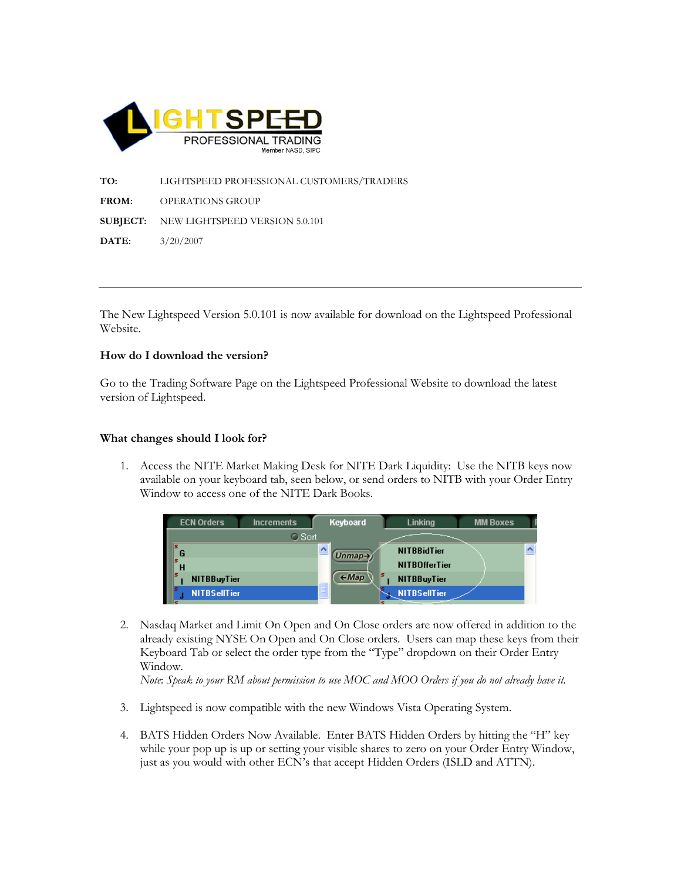

TO: LIGHTSPEED PROFESSIONAL CUSTOMERS/TRADERS FROM: OPERATIONS GROUP SUBJECT: NEW LIGHTSPEED VERSION 5.0.101 DATE: 3/20/2007

The New Lightspeed Version 5.0.101 is now available for download on the Lightspeed Professional Website.

## How do I download the version?

Go to the Trading Software Page on the Lightspeed Professional Website to download the latest version of Lightspeed.

## What changes should I look for?

1. Access the NITE Market Making Desk for NITE Dark Liquidity: Use the NITB keys now available on your keyboard tab, seen below, or send orders to NITB with your Order Entry Window to access one of the NITE Dark Books.

| <b>ECN Orders</b>   | <b>Increments</b> | Keyboard                | <b>Linking</b>       | <b>MM Boxes</b> |  |
|---------------------|-------------------|-------------------------|----------------------|-----------------|--|
|                     | <b>O</b> Sort     |                         |                      |                 |  |
|                     |                   | (Unmap)                 | <b>NITBBidTier</b>   |                 |  |
|                     |                   |                         | <b>NITBOfferTier</b> |                 |  |
| <b>NITBBuyTier</b>  |                   | ls.<br>$\leftarrow Map$ | <b>NITBBuyTier</b>   |                 |  |
| <b>NITBSellTier</b> |                   |                         | <b>NITBSellTier</b>  |                 |  |

2. Nasdaq Market and Limit On Open and On Close orders are now offered in addition to the already existing NYSE On Open and On Close orders. Users can map these keys from their Keyboard Tab or select the order type from the "Type" dropdown on their Order Entry Window.

Note: Speak to your RM about permission to use MOC and MOO Orders if you do not already have it.

- 3. Lightspeed is now compatible with the new Windows Vista Operating System.
- 4. BATS Hidden Orders Now Available. Enter BATS Hidden Orders by hitting the "H" key while your pop up is up or setting your visible shares to zero on your Order Entry Window, just as you would with other ECN's that accept Hidden Orders (ISLD and ATTN).